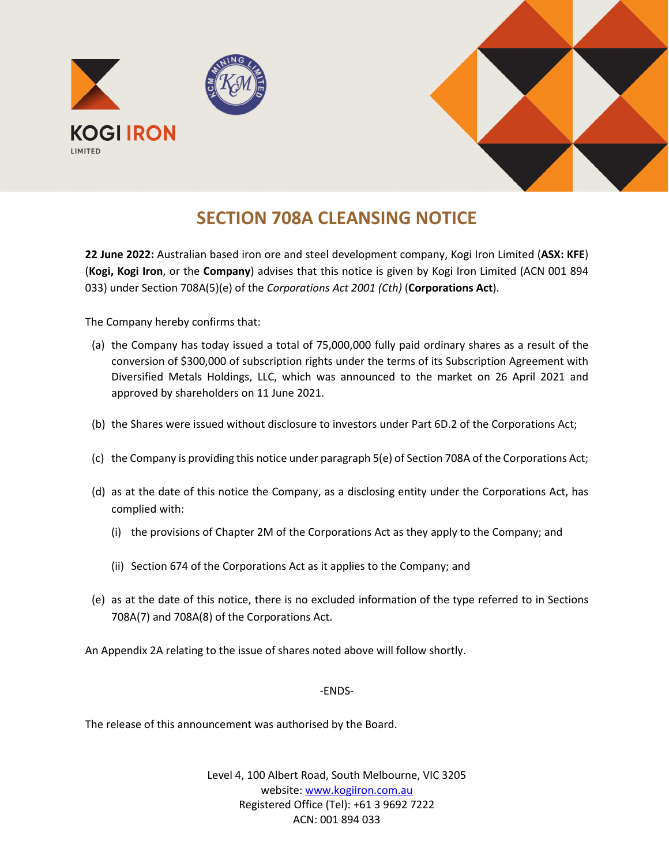

## **SECTION 708A CLEANSING NOTICE**

**22 June 2022:** Australian based iron ore and steel development company, Kogi Iron Limited (**ASX: KFE**) (**Kogi, Kogi Iron**, or the **Company**) advises that this notice is given by Kogi Iron Limited (ACN 001 894 033) under Section 708A(5)(e) of the *Corporations Act 2001 (Cth)* (**Corporations Act**).

The Company hereby confirms that:

- (a) the Company has today issued a total of 75,000,000 fully paid ordinary shares as a result of the conversion of \$300,000 of subscription rights under the terms of its Subscription Agreement with Diversified Metals Holdings, LLC, which was announced to the market on 26 April 2021 and approved by shareholders on 11 June 2021.
- (b) the Shares were issued without disclosure to investors under Part 6D.2 of the Corporations Act;
- (c) the Company is providing this notice under paragraph 5(e) of Section 708A of the Corporations Act;
- (d) as at the date of this notice the Company, as a disclosing entity under the Corporations Act, has complied with:
	- (i) the provisions of Chapter 2M of the Corporations Act as they apply to the Company; and
	- (ii) Section 674 of the Corporations Act as it applies to the Company; and
- (e) as at the date of this notice, there is no excluded information of the type referred to in Sections 708A(7) and 708A(8) of the Corporations Act.

An Appendix 2A relating to the issue of shares noted above will follow shortly.

## -ENDS-

The release of this announcement was authorised by the Board.

Level 4, 100 Albert Road, South Melbourne, VIC 3205 website: www.kogiiron.com.au Registered Office (Tel): +61 3 9692 7222 ACN: 001 894 033